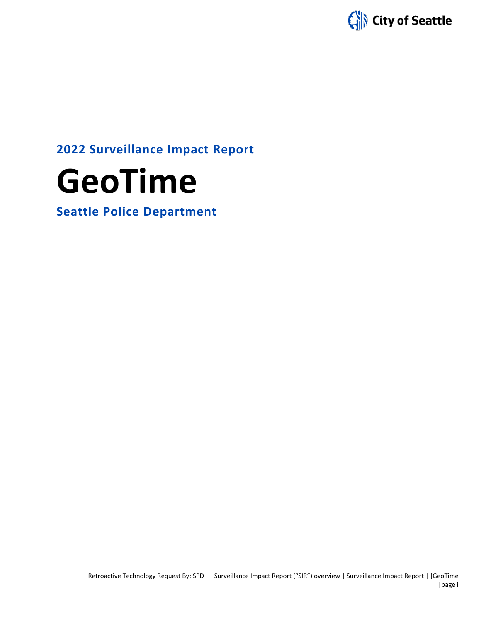

## **2022 Surveillance Impact Report**



**Seattle Police Department**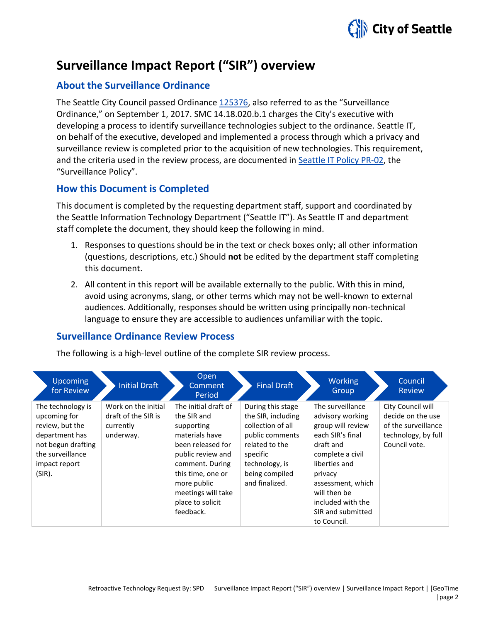

## **Surveillance Impact Report ("SIR") overview**

## **About the Surveillance Ordinance**

The Seattle City Council passed Ordinance [125376,](http://seattle.legistar.com/LegislationDetail.aspx?ID=2981172&GUID=0B2FEFC0-822F-4907-9409-E318537E5330&Options=Advanced&Search=) also referred to as the "Surveillance Ordinance," on September 1, 2017. SMC 14.18.020.b.1 charges the City's executive with developing a process to identify surveillance technologies subject to the ordinance. Seattle IT, on behalf of the executive, developed and implemented a process through which a privacy and surveillance review is completed prior to the acquisition of new technologies. This requirement, and the criteria used in the review process, are documented in Seattle IT [Policy PR-02,](https://seattlegov.sharepoint.com/sites/IT-CDR/Operating_Docs/PR-02SurveillancePolicy.pdf) the "Surveillance Policy".

## **How this Document is Completed**

This document is completed by the requesting department staff, support and coordinated by the Seattle Information Technology Department ("Seattle IT"). As Seattle IT and department staff complete the document, they should keep the following in mind.

- 1. Responses to questions should be in the text or check boxes only; all other information (questions, descriptions, etc.) Should **not** be edited by the department staff completing this document.
- 2. All content in this report will be available externally to the public. With this in mind, avoid using acronyms, slang, or other terms which may not be well-known to external audiences. Additionally, responses should be written using principally non-technical language to ensure they are accessible to audiences unfamiliar with the topic.

## **Surveillance Ordinance Review Process**

The following is a high-level outline of the complete SIR review process.

| <b>Upcoming</b><br>for Review                                                                                                               | <b>Initial Draft</b>                                                 | Open<br>Comment<br>Period                                                                                                                                                                                                   | <b>Final Draft</b>                                                                                                                                                  | <b>Working</b><br>Group                                                                                                                                                                                                                  | Council<br><b>Review</b>                                                                              |
|---------------------------------------------------------------------------------------------------------------------------------------------|----------------------------------------------------------------------|-----------------------------------------------------------------------------------------------------------------------------------------------------------------------------------------------------------------------------|---------------------------------------------------------------------------------------------------------------------------------------------------------------------|------------------------------------------------------------------------------------------------------------------------------------------------------------------------------------------------------------------------------------------|-------------------------------------------------------------------------------------------------------|
| The technology is<br>upcoming for<br>review, but the<br>department has<br>not begun drafting<br>the surveillance<br>impact report<br>(SIR). | Work on the initial<br>draft of the SIR is<br>currently<br>underway. | The initial draft of<br>the SIR and<br>supporting<br>materials have<br>been released for<br>public review and<br>comment. During<br>this time, one or<br>more public<br>meetings will take<br>place to solicit<br>feedback. | During this stage<br>the SIR, including<br>collection of all<br>public comments<br>related to the<br>specific<br>technology, is<br>being compiled<br>and finalized. | The surveillance<br>advisory working<br>group will review<br>each SIR's final<br>draft and<br>complete a civil<br>liberties and<br>privacy<br>assessment, which<br>will then be<br>included with the<br>SIR and submitted<br>to Council. | City Council will<br>decide on the use<br>of the surveillance<br>technology, by full<br>Council vote. |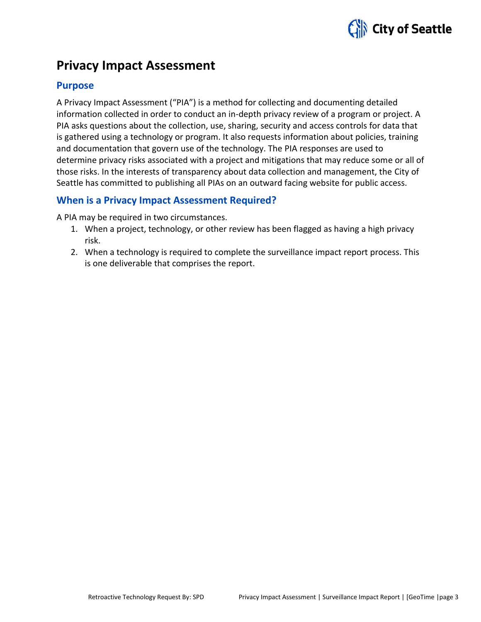

## **Privacy Impact Assessment**

#### **Purpose**

A Privacy Impact Assessment ("PIA") is a method for collecting and documenting detailed information collected in order to conduct an in-depth privacy review of a program or project. A PIA asks questions about the collection, use, sharing, security and access controls for data that is gathered using a technology or program. It also requests information about policies, training and documentation that govern use of the technology. The PIA responses are used to determine privacy risks associated with a project and mitigations that may reduce some or all of those risks. In the interests of transparency about data collection and management, the City of Seattle has committed to publishing all PIAs on an outward facing website for public access.

### **When is a Privacy Impact Assessment Required?**

A PIA may be required in two circumstances.

- 1. When a project, technology, or other review has been flagged as having a high privacy risk.
- 2. When a technology is required to complete the surveillance impact report process. This is one deliverable that comprises the report.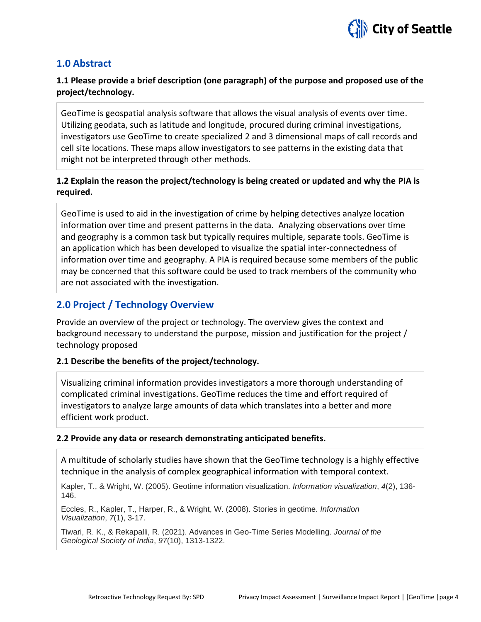

### **1.0 Abstract**

### **1.1 Please provide a brief description (one paragraph) of the purpose and proposed use of the project/technology.**

GeoTime is geospatial analysis software that allows the visual analysis of events over time. Utilizing geodata, such as latitude and longitude, procured during criminal investigations, investigators use GeoTime to create specialized 2 and 3 dimensional maps of call records and cell site locations. These maps allow investigators to see patterns in the existing data that might not be interpreted through other methods.

### **1.2 Explain the reason the project/technology is being created or updated and why the PIA is required.**

GeoTime is used to aid in the investigation of crime by helping detectives analyze location information over time and present patterns in the data. Analyzing observations over time and geography is a common task but typically requires multiple, separate tools. GeoTime is an application which has been developed to visualize the spatial inter-connectedness of information over time and geography. A PIA is required because some members of the public may be concerned that this software could be used to track members of the community who are not associated with the investigation.

## **2.0 Project / Technology Overview**

Provide an overview of the project or technology. The overview gives the context and background necessary to understand the purpose, mission and justification for the project / technology proposed

#### **2.1 Describe the benefits of the project/technology.**

Visualizing criminal information provides investigators a more thorough understanding of complicated criminal investigations. GeoTime reduces the time and effort required of investigators to analyze large amounts of data which translates into a better and more efficient work product.

#### **2.2 Provide any data or research demonstrating anticipated benefits.**

A multitude of scholarly studies have shown that the GeoTime technology is a highly effective technique in the analysis of complex geographical information with temporal context.

Kapler, T., & Wright, W. (2005). Geotime information visualization. *Information visualization*, *4*(2), 136- 146.

Eccles, R., Kapler, T., Harper, R., & Wright, W. (2008). Stories in geotime. *Information Visualization*, *7*(1), 3-17.

Tiwari, R. K., & Rekapalli, R. (2021). Advances in Geo-Time Series Modelling. *Journal of the Geological Society of India*, *97*(10), 1313-1322.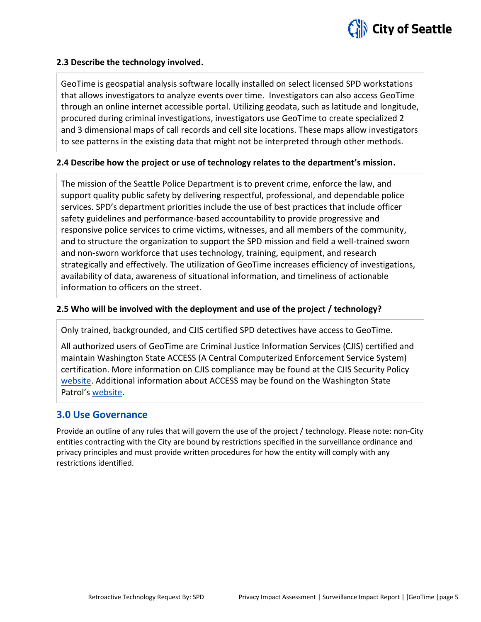

#### **2.3 Describe the technology involved.**

GeoTime is geospatial analysis software locally installed on select licensed SPD workstations that allows investigators to analyze events over time. Investigators can also access GeoTime through an online internet accessible portal. Utilizing geodata, such as latitude and longitude, procured during criminal investigations, investigators use GeoTime to create specialized 2 and 3 dimensional maps of call records and cell site locations. These maps allow investigators to see patterns in the existing data that might not be interpreted through other methods.

#### **2.4 Describe how the project or use of technology relates to the department's mission.**

The mission of the Seattle Police Department is to prevent crime, enforce the law, and support quality public safety by delivering respectful, professional, and dependable police services. SPD's department priorities include the use of best practices that include officer safety guidelines and performance-based accountability to provide progressive and responsive police services to crime victims, witnesses, and all members of the community, and to structure the organization to support the SPD mission and field a well-trained sworn and non-sworn workforce that uses technology, training, equipment, and research strategically and effectively. The utilization of GeoTime increases efficiency of investigations, availability of data, awareness of situational information, and timeliness of actionable information to officers on the street.

#### **2.5 Who will be involved with the deployment and use of the project / technology?**

Only trained, backgrounded, and CJIS certified SPD detectives have access to GeoTime.

All authorized users of GeoTime are Criminal Justice Information Services (CJIS) certified and maintain Washington State ACCESS (A Central Computerized Enforcement Service System) certification. More information on CJIS compliance may be found at the CJIS Security Policy [website.](https://www.fbi.gov/services/cjis/cjis-security-policy-resource-center) Additional information about ACCESS may be found on the Washington State Patrol's [website.](http://www.wsp.wa.gov/_secured/access/access.htm)

#### **3.0 Use Governance**

Provide an outline of any rules that will govern the use of the project / technology. Please note: non-City entities contracting with the City are bound by restrictions specified in the surveillance ordinance and privacy principles and must provide written procedures for how the entity will comply with any restrictions identified.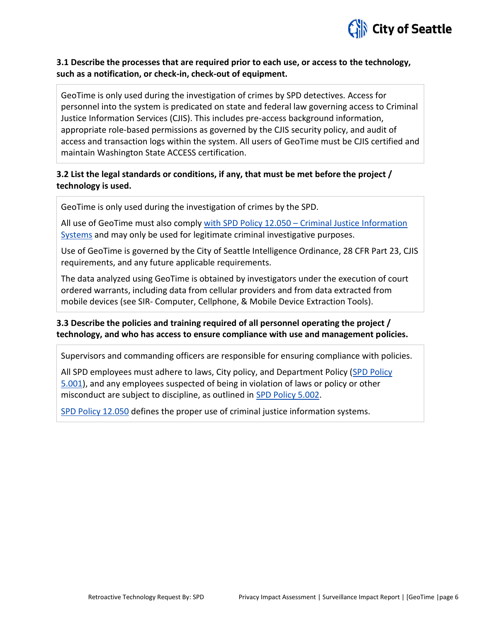

#### **3.1 Describe the processes that are required prior to each use, or access to the technology, such as a notification, or check-in, check-out of equipment.**

GeoTime is only used during the investigation of crimes by SPD detectives. Access for personnel into the system is predicated on state and federal law governing access to Criminal Justice Information Services (CJIS). This includes pre-access background information, appropriate role-based permissions as governed by the CJIS security policy, and audit of access and transaction logs within the system. All users of GeoTime must be CJIS certified and maintain Washington State ACCESS certification.

#### **3.2 List the legal standards or conditions, if any, that must be met before the project / technology is used.**

GeoTime is only used during the investigation of crimes by the SPD.

All use of GeoTime must also comply with SPD Policy 12.050 – [Criminal Justice Information](https://www.seattle.gov/police-manual/title-12---department-information-systems/12050---criminal-justice-information-systems)  [Systems](https://www.seattle.gov/police-manual/title-12---department-information-systems/12050---criminal-justice-information-systems) and may only be used for legitimate criminal investigative purposes.

Use of GeoTime is governed by the City of Seattle Intelligence Ordinance, 28 CFR Part 23, CJIS requirements, and any future applicable requirements.

The data analyzed using GeoTime is obtained by investigators under the execution of court ordered warrants, including data from cellular providers and from data extracted from mobile devices (see SIR- Computer, Cellphone, & Mobile Device Extraction Tools).

#### **3.3 Describe the policies and training required of all personnel operating the project / technology, and who has access to ensure compliance with use and management policies.**

Supervisors and commanding officers are responsible for ensuring compliance with policies.

All SPD employees must adhere to laws, City policy, and Department Policy [\(SPD Policy](http://www.seattle.gov/police-manual/title-5---employee-conduct/5001---standards-and-duties)  [5.001\)](http://www.seattle.gov/police-manual/title-5---employee-conduct/5001---standards-and-duties), and any employees suspected of being in violation of laws or policy or other misconduct are subject to discipline, as outlined in [SPD Policy 5.002.](http://www.seattle.gov/police-manual/title-5---employee-conduct/5002---responsibilities-of-employees-concerning-alleged-policy-violations)

[SPD Policy 12.050](http://www.seattle.gov/police-manual/title-12---department-information-systems/12050---criminal-justice-information-systems) defines the proper use of criminal justice information systems.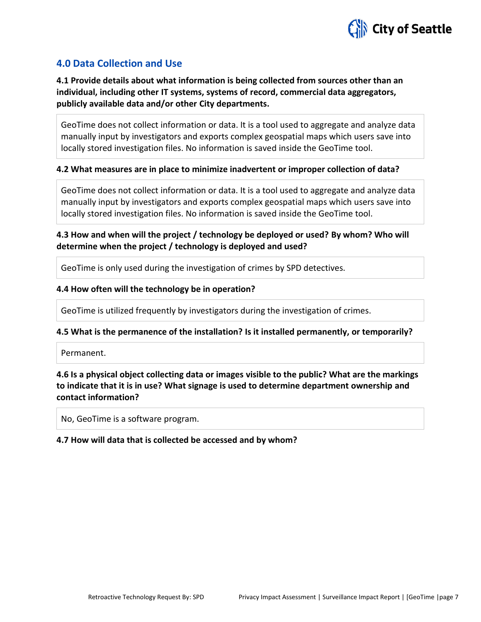

## **4.0 Data Collection and Use**

**4.1 Provide details about what information is being collected from sources other than an individual, including other IT systems, systems of record, commercial data aggregators, publicly available data and/or other City departments.**

GeoTime does not collect information or data. It is a tool used to aggregate and analyze data manually input by investigators and exports complex geospatial maps which users save into locally stored investigation files. No information is saved inside the GeoTime tool.

#### **4.2 What measures are in place to minimize inadvertent or improper collection of data?**

GeoTime does not collect information or data. It is a tool used to aggregate and analyze data manually input by investigators and exports complex geospatial maps which users save into locally stored investigation files. No information is saved inside the GeoTime tool.

#### **4.3 How and when will the project / technology be deployed or used? By whom? Who will determine when the project / technology is deployed and used?**

GeoTime is only used during the investigation of crimes by SPD detectives.

#### **4.4 How often will the technology be in operation?**

GeoTime is utilized frequently by investigators during the investigation of crimes.

#### **4.5 What is the permanence of the installation? Is it installed permanently, or temporarily?**

Permanent.

#### **4.6 Is a physical object collecting data or images visible to the public? What are the markings to indicate that it is in use? What signage is used to determine department ownership and contact information?**

No, GeoTime is a software program.

#### **4.7 How will data that is collected be accessed and by whom?**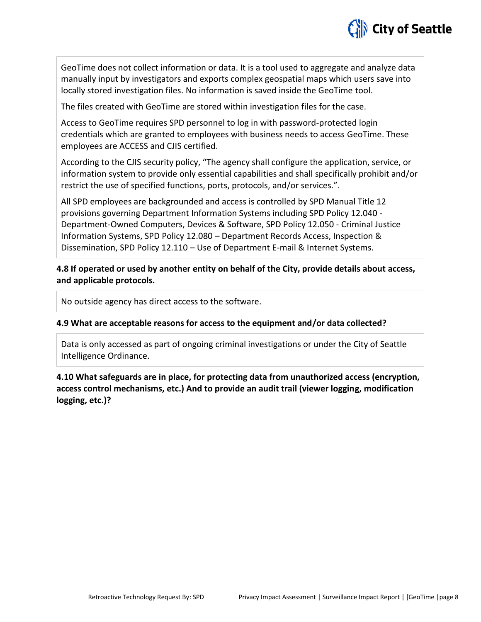

GeoTime does not collect information or data. It is a tool used to aggregate and analyze data manually input by investigators and exports complex geospatial maps which users save into locally stored investigation files. No information is saved inside the GeoTime tool.

The files created with GeoTime are stored within investigation files for the case.

Access to GeoTime requires SPD personnel to log in with password-protected login credentials which are granted to employees with business needs to access GeoTime. These employees are ACCESS and CJIS certified.

According to the CJIS security policy, "The agency shall configure the application, service, or information system to provide only essential capabilities and shall specifically prohibit and/or restrict the use of specified functions, ports, protocols, and/or services.".

All SPD employees are backgrounded and access is controlled by SPD Manual Title 12 provisions governing Department Information Systems including SPD Policy 12.040 - Department-Owned Computers, Devices & Software, SPD Policy 12.050 - Criminal Justice Information Systems, SPD Policy 12.080 – Department Records Access, Inspection & Dissemination, SPD Policy 12.110 – Use of Department E-mail & Internet Systems.

**4.8 If operated or used by another entity on behalf of the City, provide details about access, and applicable protocols.** 

No outside agency has direct access to the software.

#### **4.9 What are acceptable reasons for access to the equipment and/or data collected?**

Data is only accessed as part of ongoing criminal investigations or under the City of Seattle Intelligence Ordinance.

**4.10 What safeguards are in place, for protecting data from unauthorized access (encryption, access control mechanisms, etc.) And to provide an audit trail (viewer logging, modification logging, etc.)?**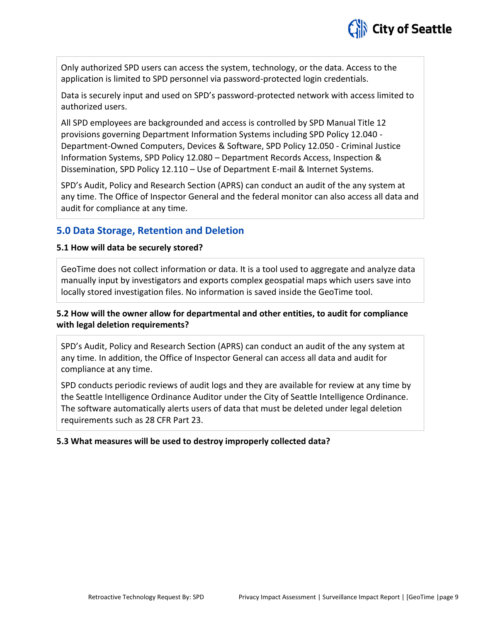

Only authorized SPD users can access the system, technology, or the data. Access to the application is limited to SPD personnel via password-protected login credentials.

Data is securely input and used on SPD's password-protected network with access limited to authorized users.

All SPD employees are backgrounded and access is controlled by SPD Manual Title 12 provisions governing Department Information Systems including SPD Policy 12.040 - Department-Owned Computers, Devices & Software, SPD Policy 12.050 - Criminal Justice Information Systems, SPD Policy 12.080 – Department Records Access, Inspection & Dissemination, SPD Policy 12.110 – Use of Department E-mail & Internet Systems.

SPD's Audit, Policy and Research Section (APRS) can conduct an audit of the any system at any time. The Office of Inspector General and the federal monitor can also access all data and audit for compliance at any time.

## **5.0 Data Storage, Retention and Deletion**

#### **5.1 How will data be securely stored?**

GeoTime does not collect information or data. It is a tool used to aggregate and analyze data manually input by investigators and exports complex geospatial maps which users save into locally stored investigation files. No information is saved inside the GeoTime tool.

### **5.2 How will the owner allow for departmental and other entities, to audit for compliance with legal deletion requirements?**

SPD's Audit, Policy and Research Section (APRS) can conduct an audit of the any system at any time. In addition, the Office of Inspector General can access all data and audit for compliance at any time.

SPD conducts periodic reviews of audit logs and they are available for review at any time by the Seattle Intelligence Ordinance Auditor under the City of Seattle Intelligence Ordinance. The software automatically alerts users of data that must be deleted under legal deletion requirements such as 28 CFR Part 23.

#### **5.3 What measures will be used to destroy improperly collected data?**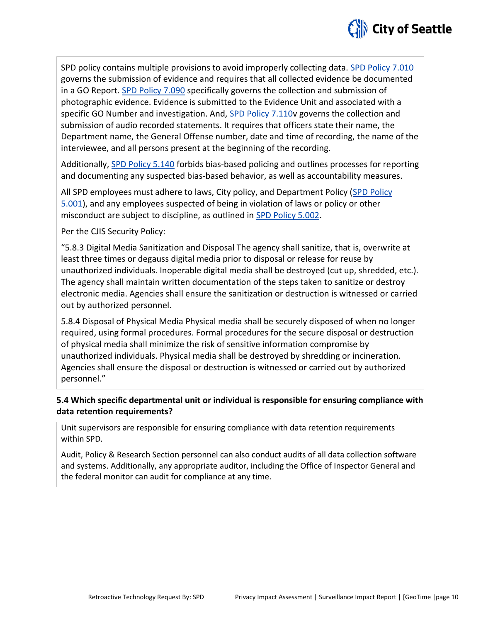

SPD policy contains multiple provisions to avoid improperly collecting data. [SPD Policy 7.010](http://www.seattle.gov/police-manual/title-7---evidence-and-property/7010---submitting-evidence) governs the submission of evidence and requires that all collected evidence be documented in a GO Report. [SPD Policy 7.090](http://www.seattle.gov/police-manual/title-7---evidence-and-property/7090---photographic-evidence) specifically governs the collection and submission of photographic evidence. Evidence is submitted to the Evidence Unit and associated with a specific GO Number and investigation. And, [SPD Policy 7.110v](http://www.seattle.gov/police-manual/title-7---evidence-and-property/7010---submitting-evidence) governs the collection and submission of audio recorded statements. It requires that officers state their name, the Department name, the General Offense number, date and time of recording, the name of the interviewee, and all persons present at the beginning of the recording.

Additionally, [SPD Policy 5.140](http://www.seattle.gov/police-manual/title-5---employee-conduct/5140---bias-free-policing) forbids bias-based policing and outlines processes for reporting and documenting any suspected bias-based behavior, as well as accountability measures.

All SPD employees must adhere to laws, City policy, and Department Policy [\(SPD Policy](http://www.seattle.gov/police-manual/title-5---employee-conduct/5001---standards-and-duties)  [5.001\)](http://www.seattle.gov/police-manual/title-5---employee-conduct/5001---standards-and-duties), and any employees suspected of being in violation of laws or policy or other misconduct are subject to discipline, as outlined in [SPD Policy 5.002.](http://www.seattle.gov/police-manual/title-5---employee-conduct/5002---responsibilities-of-employees-concerning-alleged-policy-violations)

Per the CJIS Security Policy:

"5.8.3 Digital Media Sanitization and Disposal The agency shall sanitize, that is, overwrite at least three times or degauss digital media prior to disposal or release for reuse by unauthorized individuals. Inoperable digital media shall be destroyed (cut up, shredded, etc.). The agency shall maintain written documentation of the steps taken to sanitize or destroy electronic media. Agencies shall ensure the sanitization or destruction is witnessed or carried out by authorized personnel.

5.8.4 Disposal of Physical Media Physical media shall be securely disposed of when no longer required, using formal procedures. Formal procedures for the secure disposal or destruction of physical media shall minimize the risk of sensitive information compromise by unauthorized individuals. Physical media shall be destroyed by shredding or incineration. Agencies shall ensure the disposal or destruction is witnessed or carried out by authorized personnel."

### **5.4 Which specific departmental unit or individual is responsible for ensuring compliance with data retention requirements?**

Unit supervisors are responsible for ensuring compliance with data retention requirements within SPD.

Audit, Policy & Research Section personnel can also conduct audits of all data collection software and systems. Additionally, any appropriate auditor, including the Office of Inspector General and the federal monitor can audit for compliance at any time.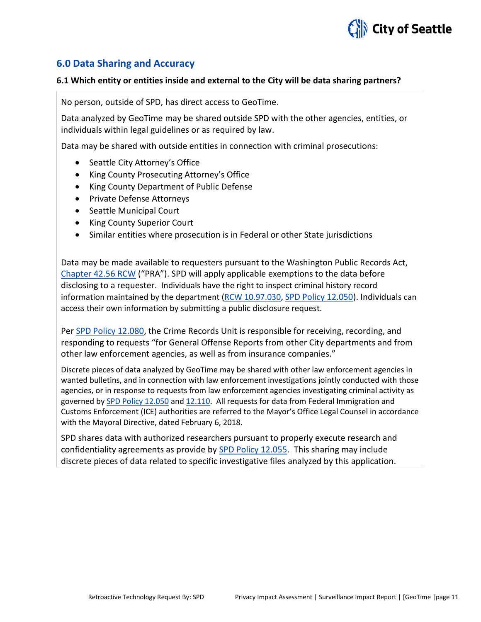

## **6.0 Data Sharing and Accuracy**

#### **6.1 Which entity or entities inside and external to the City will be data sharing partners?**

No person, outside of SPD, has direct access to GeoTime.

Data analyzed by GeoTime may be shared outside SPD with the other agencies, entities, or individuals within legal guidelines or as required by law.

Data may be shared with outside entities in connection with criminal prosecutions:

- Seattle City Attorney's Office
- King County Prosecuting Attorney's Office
- King County Department of Public Defense
- Private Defense Attorneys
- Seattle Municipal Court
- King County Superior Court
- Similar entities where prosecution is in Federal or other State jurisdictions

Data may be made available to requesters pursuant to the Washington Public Records Act, [Chapter 42.56 RCW](http://apps.leg.wa.gov/RCW/default.aspx?cite=42.56) ("PRA"). SPD will apply applicable exemptions to the data before disclosing to a requester. Individuals have the right to inspect criminal history record information maintained by the department [\(RCW 10.97.030,](http://app.leg.wa.gov/rcw/default.aspx?cite=10.97.030) [SPD Policy 12.050\)](http://www.seattle.gov/police-manual/title-12---department-information-systems/12050---criminal-justice-information-systems). Individuals can access their own information by submitting a public disclosure request.

Pe[r SPD Policy 12.080,](http://www.seattle.gov/police-manual/title-12---department-information-systems/12080---department-records-access-inspection-and-dissemination) the Crime Records Unit is responsible for receiving, recording, and responding to requests "for General Offense Reports from other City departments and from other law enforcement agencies, as well as from insurance companies."

Discrete pieces of data analyzed by GeoTime may be shared with other law enforcement agencies in wanted bulletins, and in connection with law enforcement investigations jointly conducted with those agencies, or in response to requests from law enforcement agencies investigating criminal activity as governed b[y SPD Policy 12.050](http://www.seattle.gov/police-manual/title-12---department-information-systems/12050---criminal-justice-information-systems) and [12.110.](http://www.seattle.gov/police-manual/title-12---department-information-systems/12110---use-of-department-e-mail-and-internet-systems) All requests for data from Federal Immigration and Customs Enforcement (ICE) authorities are referred to the Mayor's Office Legal Counsel in accordance with the Mayoral Directive, dated February 6, 2018.

SPD shares data with authorized researchers pursuant to properly execute research and confidentiality agreements as provide by [SPD Policy 12.055.](http://www.seattle.gov/police-manual/title-12---department-information-systems/12055---criminal-justice-research) This sharing may include discrete pieces of data related to specific investigative files analyzed by this application.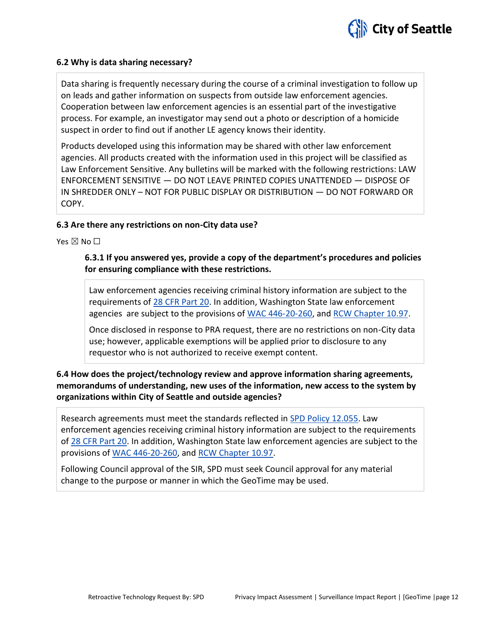#### **6.2 Why is data sharing necessary?**

Data sharing is frequently necessary during the course of a criminal investigation to follow up on leads and gather information on suspects from outside law enforcement agencies. Cooperation between law enforcement agencies is an essential part of the investigative process. For example, an investigator may send out a photo or description of a homicide suspect in order to find out if another LE agency knows their identity.

Products developed using this information may be shared with other law enforcement agencies. All products created with the information used in this project will be classified as Law Enforcement Sensitive. Any bulletins will be marked with the following restrictions: LAW ENFORCEMENT SENSITIVE — DO NOT LEAVE PRINTED COPIES UNATTENDED — DISPOSE OF IN SHREDDER ONLY – NOT FOR PUBLIC DISPLAY OR DISTRIBUTION — DO NOT FORWARD OR COPY.

#### **6.3 Are there any restrictions on non-City data use?**

Yes  $\boxtimes$  No  $\square$ 

#### **6.3.1 If you answered yes, provide a copy of the department's procedures and policies for ensuring compliance with these restrictions.**

Law enforcement agencies receiving criminal history information are subject to the requirements of [28 CFR Part 20.](https://www.ecfr.gov/cgi-bin/text-idx?tpl=/ecfrbrowse/Title28/28cfr20_main_02.tpl) In addition, Washington State law enforcement agencies are subject to the provisions of [WAC 446-20-260,](http://apps.leg.wa.gov/wac/default.aspx?cite=446-20-260) and [RCW Chapter 10.97.](http://app.leg.wa.gov/rcw/default.aspx?cite=10.97)

Once disclosed in response to PRA request, there are no restrictions on non-City data use; however, applicable exemptions will be applied prior to disclosure to any requestor who is not authorized to receive exempt content.

**6.4 How does the project/technology review and approve information sharing agreements, memorandums of understanding, new uses of the information, new access to the system by organizations within City of Seattle and outside agencies?**

Research agreements must meet the standards reflected in [SPD Policy 12.055.](http://www.seattle.gov/police-manual/title-12---department-information-systems/12055---criminal-justice-research) Law enforcement agencies receiving criminal history information are subject to the requirements of [28 CFR Part 20.](https://www.ecfr.gov/cgi-bin/text-idx?tpl=/ecfrbrowse/Title28/28cfr20_main_02.tpl) In addition, Washington State law enforcement agencies are subject to the provisions of [WAC 446-20-260,](http://apps.leg.wa.gov/wac/default.aspx?cite=446-20-260) and [RCW Chapter 10.97.](http://app.leg.wa.gov/rcw/default.aspx?cite=10.97)

Following Council approval of the SIR, SPD must seek Council approval for any material change to the purpose or manner in which the GeoTime may be used.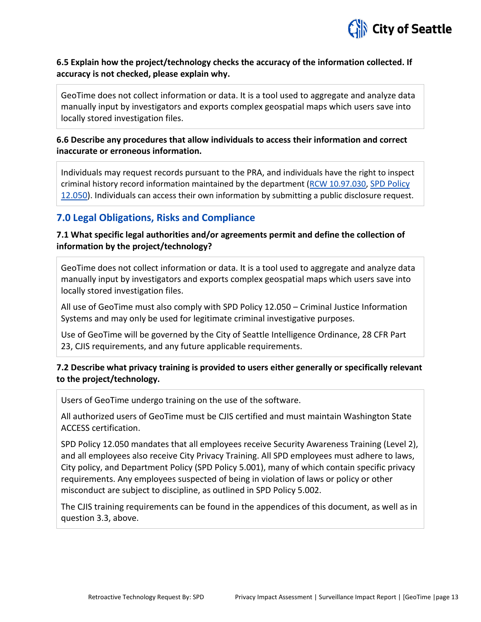

#### **6.5 Explain how the project/technology checks the accuracy of the information collected. If accuracy is not checked, please explain why.**

GeoTime does not collect information or data. It is a tool used to aggregate and analyze data manually input by investigators and exports complex geospatial maps which users save into locally stored investigation files.

### **6.6 Describe any procedures that allow individuals to access their information and correct inaccurate or erroneous information.**

Individuals may request records pursuant to the PRA, and individuals have the right to inspect criminal history record information maintained by the department [\(RCW 10.97.030,](http://app.leg.wa.gov/rcw/default.aspx?cite=10.97.030) [SPD Policy](http://www.seattle.gov/police-manual/title-12---department-information-systems/12050---criminal-justice-information-systems)  [12.050\)](http://www.seattle.gov/police-manual/title-12---department-information-systems/12050---criminal-justice-information-systems). Individuals can access their own information by submitting a public disclosure request.

## **7.0 Legal Obligations, Risks and Compliance**

### **7.1 What specific legal authorities and/or agreements permit and define the collection of information by the project/technology?**

GeoTime does not collect information or data. It is a tool used to aggregate and analyze data manually input by investigators and exports complex geospatial maps which users save into locally stored investigation files.

All use of GeoTime must also comply with SPD Policy 12.050 – Criminal Justice Information Systems and may only be used for legitimate criminal investigative purposes.

Use of GeoTime will be governed by the City of Seattle Intelligence Ordinance, 28 CFR Part 23, CJIS requirements, and any future applicable requirements.

### **7.2 Describe what privacy training is provided to users either generally or specifically relevant to the project/technology.**

Users of GeoTime undergo training on the use of the software.

All authorized users of GeoTime must be CJIS certified and must maintain Washington State ACCESS certification.

SPD Policy 12.050 mandates that all employees receive Security Awareness Training (Level 2), and all employees also receive City Privacy Training. All SPD employees must adhere to laws, City policy, and Department Policy (SPD Policy 5.001), many of which contain specific privacy requirements. Any employees suspected of being in violation of laws or policy or other misconduct are subject to discipline, as outlined in SPD Policy 5.002.

The CJIS training requirements can be found in the appendices of this document, as well as in question 3.3, above.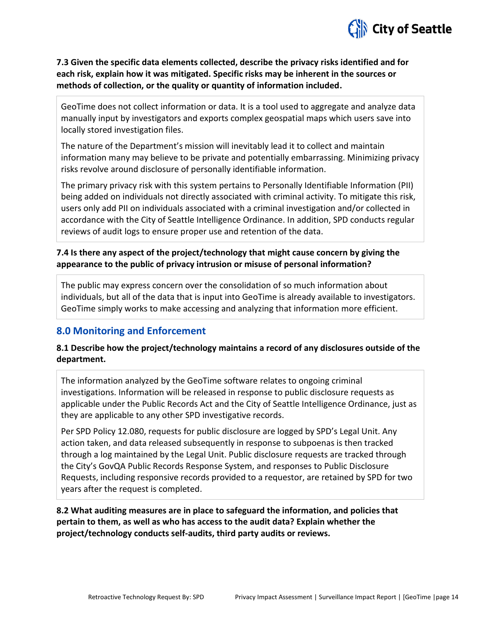

### **7.3 Given the specific data elements collected, describe the privacy risks identified and for each risk, explain how it was mitigated. Specific risks may be inherent in the sources or methods of collection, or the quality or quantity of information included.**

GeoTime does not collect information or data. It is a tool used to aggregate and analyze data manually input by investigators and exports complex geospatial maps which users save into locally stored investigation files.

The nature of the Department's mission will inevitably lead it to collect and maintain information many may believe to be private and potentially embarrassing. Minimizing privacy risks revolve around disclosure of personally identifiable information.

The primary privacy risk with this system pertains to Personally Identifiable Information (PII) being added on individuals not directly associated with criminal activity. To mitigate this risk, users only add PII on individuals associated with a criminal investigation and/or collected in accordance with the City of Seattle Intelligence Ordinance. In addition, SPD conducts regular reviews of audit logs to ensure proper use and retention of the data.

### **7.4 Is there any aspect of the project/technology that might cause concern by giving the appearance to the public of privacy intrusion or misuse of personal information?**

The public may express concern over the consolidation of so much information about individuals, but all of the data that is input into GeoTime is already available to investigators. GeoTime simply works to make accessing and analyzing that information more efficient.

## **8.0 Monitoring and Enforcement**

### **8.1 Describe how the project/technology maintains a record of any disclosures outside of the department.**

The information analyzed by the GeoTime software relates to ongoing criminal investigations. Information will be released in response to public disclosure requests as applicable under the Public Records Act and the City of Seattle Intelligence Ordinance, just as they are applicable to any other SPD investigative records.

Per SPD Policy 12.080, requests for public disclosure are logged by SPD's Legal Unit. Any action taken, and data released subsequently in response to subpoenas is then tracked through a log maintained by the Legal Unit. Public disclosure requests are tracked through the City's GovQA Public Records Response System, and responses to Public Disclosure Requests, including responsive records provided to a requestor, are retained by SPD for two years after the request is completed.

**8.2 What auditing measures are in place to safeguard the information, and policies that pertain to them, as well as who has access to the audit data? Explain whether the project/technology conducts self-audits, third party audits or reviews.**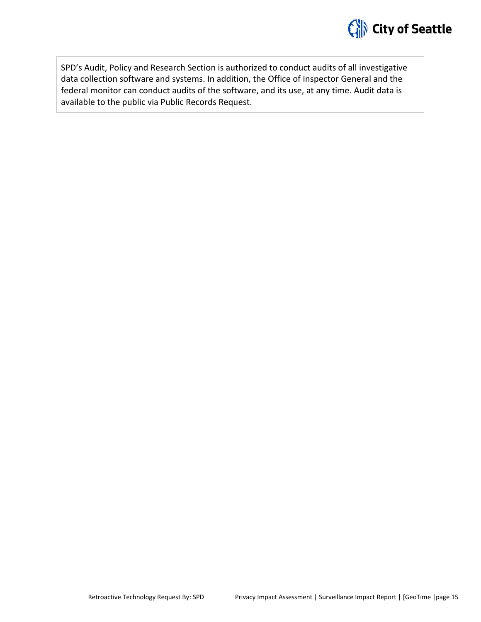

SPD's Audit, Policy and Research Section is authorized to conduct audits of all investigative data collection software and systems. In addition, the Office of Inspector General and the federal monitor can conduct audits of the software, and its use, at any time. Audit data is available to the public via Public Records Request.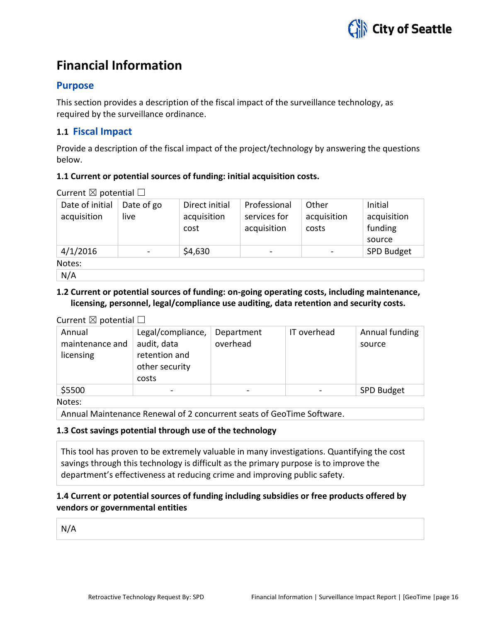## **Financial Information**

## **Purpose**

This section provides a description of the fiscal impact of the surveillance technology, as required by the surveillance ordinance.

## **1.1 Fiscal Impact**

Provide a description of the fiscal impact of the project/technology by answering the questions below.

#### **1.1 Current or potential sources of funding: initial acquisition costs.**

Current  $\boxtimes$  potential  $\Box$ 

| Date of initial | Date of go | Direct initial | Professional             | Other       | Initial     |
|-----------------|------------|----------------|--------------------------|-------------|-------------|
| acquisition     | live       | acquisition    | services for             | acquisition | acquisition |
|                 |            | cost           | acquisition              | costs       | funding     |
|                 |            |                |                          |             | source      |
| 4/1/2016        |            | \$4,630        | $\overline{\phantom{0}}$ |             | SPD Budget  |
| Notes:          |            |                |                          |             |             |
| N/A             |            |                |                          |             |             |

#### **1.2 Current or potential sources of funding: on-going operating costs, including maintenance, licensing, personnel, legal/compliance use auditing, data retention and security costs.**

Current  $\boxtimes$  potential  $\Box$ 

| Annual          | Legal/compliance, | Department | IT overhead | Annual funding    |
|-----------------|-------------------|------------|-------------|-------------------|
| maintenance and | audit, data       | overhead   |             | source            |
| licensing       | retention and     |            |             |                   |
|                 | other security    |            |             |                   |
|                 | costs             |            |             |                   |
| \$5500          | -                 |            |             | <b>SPD Budget</b> |

Notes:

Annual Maintenance Renewal of 2 concurrent seats of GeoTime Software.

#### **1.3 Cost savings potential through use of the technology**

This tool has proven to be extremely valuable in many investigations. Quantifying the cost savings through this technology is difficult as the primary purpose is to improve the department's effectiveness at reducing crime and improving public safety.

### **1.4 Current or potential sources of funding including subsidies or free products offered by vendors or governmental entities**

N/A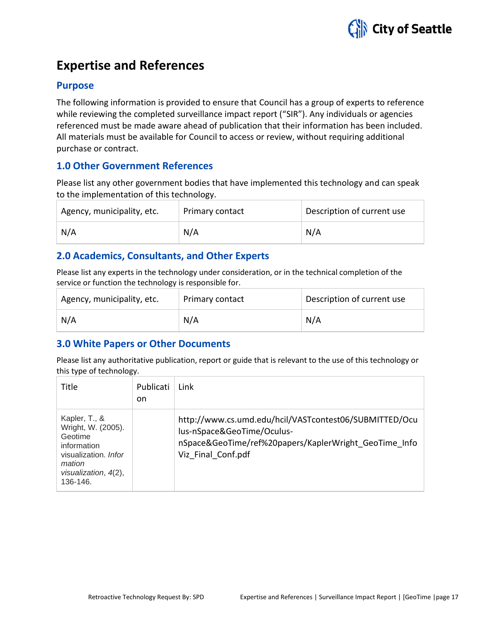

## **Expertise and References**

### **Purpose**

The following information is provided to ensure that Council has a group of experts to reference while reviewing the completed surveillance impact report ("SIR"). Any individuals or agencies referenced must be made aware ahead of publication that their information has been included. All materials must be available for Council to access or review, without requiring additional purchase or contract.

## **1.0 Other Government References**

Please list any other government bodies that have implemented this technology and can speak to the implementation of this technology.

| Agency, municipality, etc. | Primary contact | Description of current use |
|----------------------------|-----------------|----------------------------|
| N/A                        | N/A             | N/A                        |

## **2.0 Academics, Consultants, and Other Experts**

Please list any experts in the technology under consideration, or in the technical completion of the service or function the technology is responsible for.

| Agency, municipality, etc. | Primary contact | Description of current use |
|----------------------------|-----------------|----------------------------|
| N/A                        | N/A             | N/A                        |

## **3.0 White Papers or Other Documents**

Please list any authoritative publication, report or guide that is relevant to the use of this technology or this type of technology.

| Title                                                                                                                               | Publicati<br>on. | Link                                                                                                                                                                |
|-------------------------------------------------------------------------------------------------------------------------------------|------------------|---------------------------------------------------------------------------------------------------------------------------------------------------------------------|
| Kapler, T., &<br>Wright, W. (2005).<br>Geotime<br>information<br>visualization. Infor<br>mation<br>visualization, 4(2),<br>136-146. |                  | http://www.cs.umd.edu/hcil/VASTcontest06/SUBMITTED/Ocu<br>lus-nSpace&GeoTime/Oculus-<br>nSpace&GeoTime/ref%20papers/KaplerWright GeoTime Info<br>Viz Final Conf.pdf |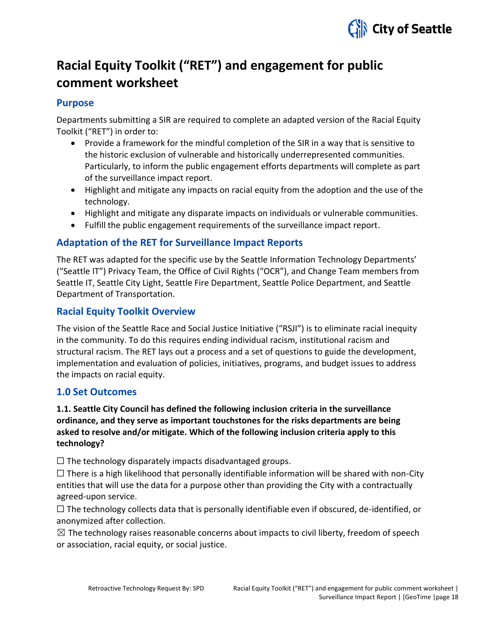

## **Racial Equity Toolkit ("RET") and engagement for public comment worksheet**

### **Purpose**

Departments submitting a SIR are required to complete an adapted version of the Racial Equity Toolkit ("RET") in order to:

- Provide a framework for the mindful completion of the SIR in a way that is sensitive to the historic exclusion of vulnerable and historically underrepresented communities. Particularly, to inform the public engagement efforts departments will complete as part of the surveillance impact report.
- Highlight and mitigate any impacts on racial equity from the adoption and the use of the technology.
- Highlight and mitigate any disparate impacts on individuals or vulnerable communities.
- Fulfill the public engagement requirements of the surveillance impact report.

## **Adaptation of the RET for Surveillance Impact Reports**

The RET was adapted for the specific use by the Seattle Information Technology Departments' ("Seattle IT") Privacy Team, the Office of Civil Rights ("OCR"), and Change Team members from Seattle IT, Seattle City Light, Seattle Fire Department, Seattle Police Department, and Seattle Department of Transportation.

## **Racial Equity Toolkit Overview**

The vision of the Seattle Race and Social Justice Initiative ("RSJI") is to eliminate racial inequity in the community. To do this requires ending individual racism, institutional racism and structural racism. The RET lays out a process and a set of questions to guide the development, implementation and evaluation of policies, initiatives, programs, and budget issues to address the impacts on racial equity.

## **1.0 Set Outcomes**

## **1.1. Seattle City Council has defined the following inclusion criteria in the surveillance ordinance, and they serve as important touchstones for the risks departments are being asked to resolve and/or mitigate. Which of the following inclusion criteria apply to this technology?**

 $\Box$  The technology disparately impacts disadvantaged groups.

 $\square$  There is a high likelihood that personally identifiable information will be shared with non-City entities that will use the data for a purpose other than providing the City with a contractually agreed-upon service.

 $\Box$  The technology collects data that is personally identifiable even if obscured, de-identified, or anonymized after collection.

 $\boxtimes$  The technology raises reasonable concerns about impacts to civil liberty, freedom of speech or association, racial equity, or social justice.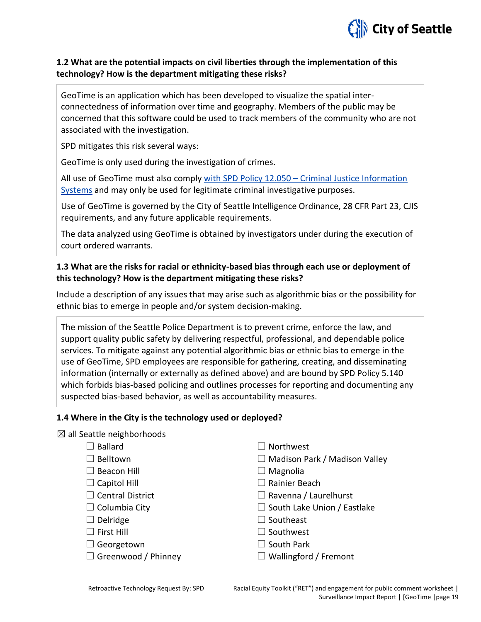

#### **1.2 What are the potential impacts on civil liberties through the implementation of this technology? How is the department mitigating these risks?**

GeoTime is an application which has been developed to visualize the spatial interconnectedness of information over time and geography. Members of the public may be concerned that this software could be used to track members of the community who are not associated with the investigation.

SPD mitigates this risk several ways:

GeoTime is only used during the investigation of crimes.

All use of GeoTime must also comply with SPD Policy 12.050 – [Criminal Justice Information](https://www.seattle.gov/police-manual/title-12---department-information-systems/12050---criminal-justice-information-systems)  [Systems](https://www.seattle.gov/police-manual/title-12---department-information-systems/12050---criminal-justice-information-systems) and may only be used for legitimate criminal investigative purposes.

Use of GeoTime is governed by the City of Seattle Intelligence Ordinance, 28 CFR Part 23, CJIS requirements, and any future applicable requirements.

The data analyzed using GeoTime is obtained by investigators under during the execution of court ordered warrants.

#### **1.3 What are the risks for racial or ethnicity-based bias through each use or deployment of this technology? How is the department mitigating these risks?**

Include a description of any issues that may arise such as algorithmic bias or the possibility for ethnic bias to emerge in people and/or system decision-making.

The mission of the Seattle Police Department is to prevent crime, enforce the law, and support quality public safety by delivering respectful, professional, and dependable police services. To mitigate against any potential algorithmic bias or ethnic bias to emerge in the use of GeoTime, SPD employees are responsible for gathering, creating, and disseminating information (internally or externally as defined above) and are bound by SPD Policy 5.140 which forbids bias-based policing and outlines processes for reporting and documenting any suspected bias-based behavior, as well as accountability measures.

#### **1.4 Where in the City is the technology used or deployed?**

 $\boxtimes$  all Seattle neighborhoods

| $\Box$ Ballard             | $\Box$ Northwest                     |
|----------------------------|--------------------------------------|
| $\Box$ Belltown            | $\Box$ Madison Park / Madison Valley |
| $\Box$ Beacon Hill         | $\Box$ Magnolia                      |
| $\Box$ Capitol Hill        | $\Box$ Rainier Beach                 |
| $\Box$ Central District    | $\Box$ Ravenna / Laurelhurst         |
| $\Box$ Columbia City       | $\Box$ South Lake Union / Eastlake   |
| $\Box$ Delridge            | $\Box$ Southeast                     |
| $\Box$ First Hill          | $\Box$ Southwest                     |
| $\Box$ Georgetown          | $\Box$ South Park                    |
| $\Box$ Greenwood / Phinney | $\Box$ Wallingford / Fremont         |
|                            |                                      |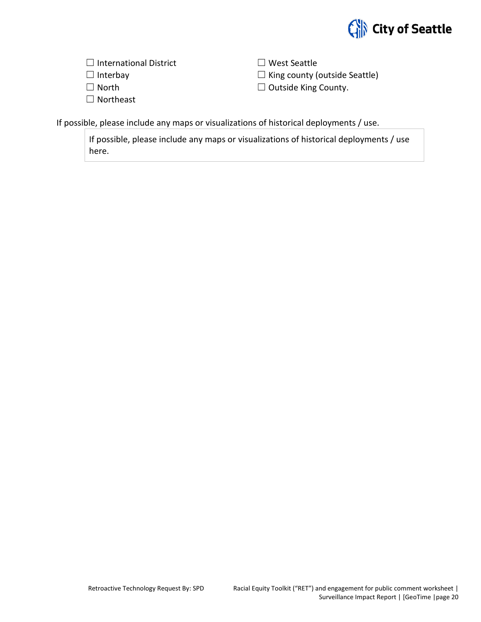

| $\Box$ International District | $\Box$ West Seattle                  |
|-------------------------------|--------------------------------------|
| $\Box$ Interbay               | $\Box$ King county (outside Seattle) |
| $\Box$ North                  | $\Box$ Outside King County.          |
| $\Box$ Northeast              |                                      |

If possible, please include any maps or visualizations of historical deployments / use.

If possible, please include any maps or visualizations of historical deployments / use here.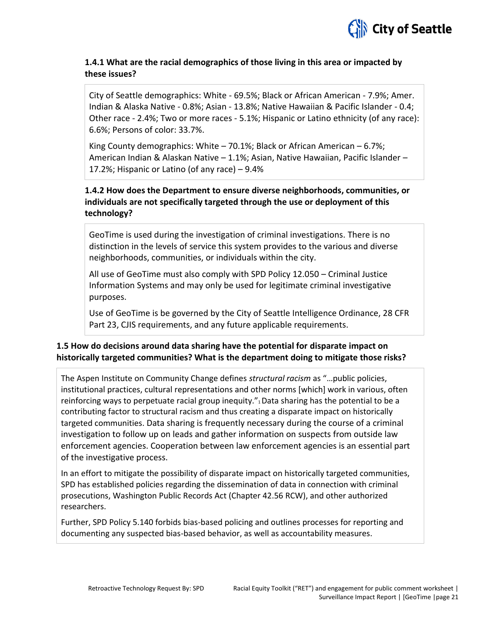

#### **1.4.1 What are the racial demographics of those living in this area or impacted by these issues?**

City of Seattle demographics: White - 69.5%; Black or African American - 7.9%; Amer. Indian & Alaska Native - 0.8%; Asian - 13.8%; Native Hawaiian & Pacific Islander - 0.4; Other race - 2.4%; Two or more races - 5.1%; Hispanic or Latino ethnicity (of any race): 6.6%; Persons of color: 33.7%.

King County demographics: White – 70.1%; Black or African American – 6.7%; American Indian & Alaskan Native – 1.1%; Asian, Native Hawaiian, Pacific Islander – 17.2%; Hispanic or Latino (of any race) – 9.4%

### **1.4.2 How does the Department to ensure diverse neighborhoods, communities, or individuals are not specifically targeted through the use or deployment of this technology?**

GeoTime is used during the investigation of criminal investigations. There is no distinction in the levels of service this system provides to the various and diverse neighborhoods, communities, or individuals within the city.

All use of GeoTime must also comply with SPD Policy 12.050 – Criminal Justice Information Systems and may only be used for legitimate criminal investigative purposes.

Use of GeoTime is be governed by the City of Seattle Intelligence Ordinance, 28 CFR Part 23, CJIS requirements, and any future applicable requirements.

### **1.5 How do decisions around data sharing have the potential for disparate impact on historically targeted communities? What is the department doing to mitigate those risks?**

The Aspen Institute on Community Change defines *structural racism* as "…public policies, institutional practices, cultural representations and other norms [which] work in various, often reinforcing ways to perpetuate racial group inequity."<sub>1</sub> Data sharing has the potential to be a contributing factor to structural racism and thus creating a disparate impact on historically targeted communities. Data sharing is frequently necessary during the course of a criminal investigation to follow up on leads and gather information on suspects from outside law enforcement agencies. Cooperation between law enforcement agencies is an essential part of the investigative process.

In an effort to mitigate the possibility of disparate impact on historically targeted communities, SPD has established policies regarding the dissemination of data in connection with criminal prosecutions, Washington Public Records Act (Chapter 42.56 RCW), and other authorized researchers.

Further, SPD Policy 5.140 forbids bias-based policing and outlines processes for reporting and documenting any suspected bias-based behavior, as well as accountability measures.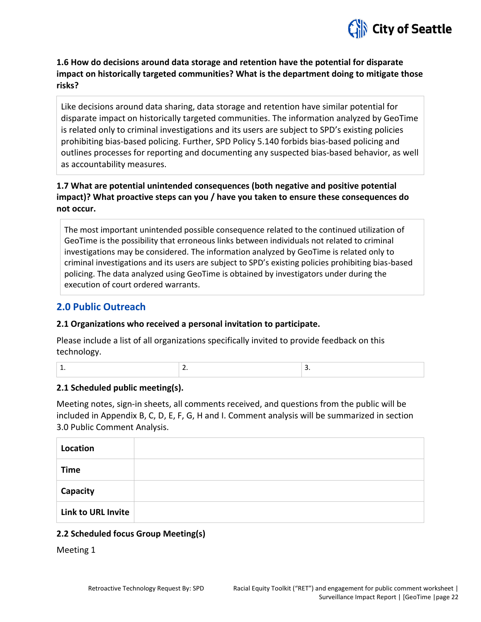

**1.6 How do decisions around data storage and retention have the potential for disparate impact on historically targeted communities? What is the department doing to mitigate those risks?** 

Like decisions around data sharing, data storage and retention have similar potential for disparate impact on historically targeted communities. The information analyzed by GeoTime is related only to criminal investigations and its users are subject to SPD's existing policies prohibiting bias-based policing. Further, SPD Policy 5.140 forbids bias-based policing and outlines processes for reporting and documenting any suspected bias-based behavior, as well as accountability measures.

## **1.7 What are potential unintended consequences (both negative and positive potential impact)? What proactive steps can you / have you taken to ensure these consequences do not occur.**

The most important unintended possible consequence related to the continued utilization of GeoTime is the possibility that erroneous links between individuals not related to criminal investigations may be considered. The information analyzed by GeoTime is related only to criminal investigations and its users are subject to SPD's existing policies prohibiting bias-based policing. The data analyzed using GeoTime is obtained by investigators under during the execution of court ordered warrants.

## **2.0 Public Outreach**

#### **2.1 Organizations who received a personal invitation to participate.**

Please include a list of all organizations specifically invited to provide feedback on this technology.

|  | ___ |
|--|-----|
|  |     |

#### **2.1 Scheduled public meeting(s).**

Meeting notes, sign-in sheets, all comments received, and questions from the public will be included in Appendix B, C, D, E, F, G, H and I. Comment analysis will be summarized in section 3.0 Public Comment Analysis.

| Location                  |  |
|---------------------------|--|
| <b>Time</b>               |  |
| Capacity                  |  |
| <b>Link to URL Invite</b> |  |

### **2.2 Scheduled focus Group Meeting(s)**

Meeting 1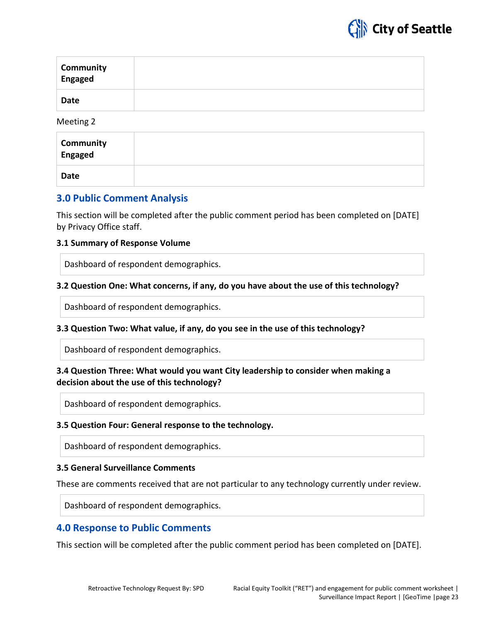

| <b>Community</b><br>Engaged |  |
|-----------------------------|--|
| <b>Date</b>                 |  |

Meeting 2

| <b>Community</b><br>Engaged |  |
|-----------------------------|--|
| Date                        |  |

## **3.0 Public Comment Analysis**

This section will be completed after the public comment period has been completed on [DATE] by Privacy Office staff.

#### **3.1 Summary of Response Volume**

Dashboard of respondent demographics.

#### **3.2 Question One: What concerns, if any, do you have about the use of this technology?**

Dashboard of respondent demographics.

#### **3.3 Question Two: What value, if any, do you see in the use of this technology?**

Dashboard of respondent demographics.

#### **3.4 Question Three: What would you want City leadership to consider when making a decision about the use of this technology?**

Dashboard of respondent demographics.

#### **3.5 Question Four: General response to the technology.**

Dashboard of respondent demographics.

#### **3.5 General Surveillance Comments**

These are comments received that are not particular to any technology currently under review.

Dashboard of respondent demographics.

### **4.0 Response to Public Comments**

This section will be completed after the public comment period has been completed on [DATE].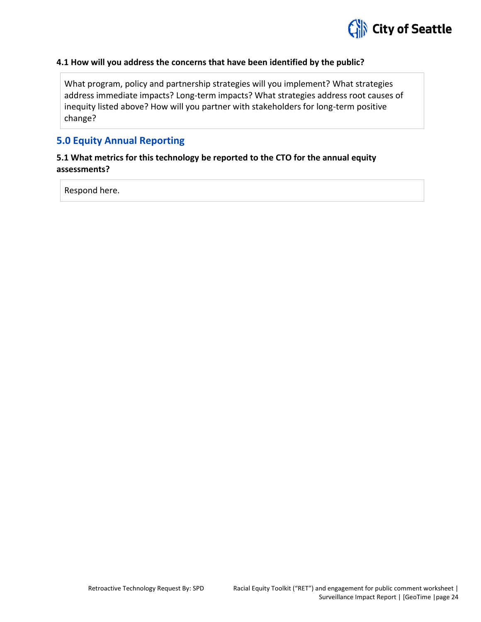

#### **4.1 How will you address the concerns that have been identified by the public?**

What program, policy and partnership strategies will you implement? What strategies address immediate impacts? Long-term impacts? What strategies address root causes of inequity listed above? How will you partner with stakeholders for long-term positive change?

## **5.0 Equity Annual Reporting**

#### **5.1 What metrics for this technology be reported to the CTO for the annual equity assessments?**

Respond here.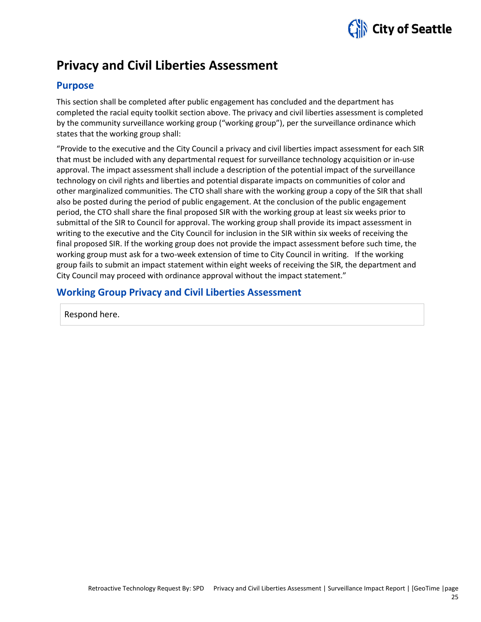

## **Privacy and Civil Liberties Assessment**

## **Purpose**

This section shall be completed after public engagement has concluded and the department has completed the racial equity toolkit section above. The privacy and civil liberties assessment is completed by the community surveillance working group ("working group"), per the surveillance ordinance which states that the working group shall:

"Provide to the executive and the City Council a privacy and civil liberties impact assessment for each SIR that must be included with any departmental request for surveillance technology acquisition or in-use approval. The impact assessment shall include a description of the potential impact of the surveillance technology on civil rights and liberties and potential disparate impacts on communities of color and other marginalized communities. The CTO shall share with the working group a copy of the SIR that shall also be posted during the period of public engagement. At the conclusion of the public engagement period, the CTO shall share the final proposed SIR with the working group at least six weeks prior to submittal of the SIR to Council for approval. The working group shall provide its impact assessment in writing to the executive and the City Council for inclusion in the SIR within six weeks of receiving the final proposed SIR. If the working group does not provide the impact assessment before such time, the working group must ask for a two-week extension of time to City Council in writing. If the working group fails to submit an impact statement within eight weeks of receiving the SIR, the department and City Council may proceed with ordinance approval without the impact statement."

## **Working Group Privacy and Civil Liberties Assessment**

Respond here.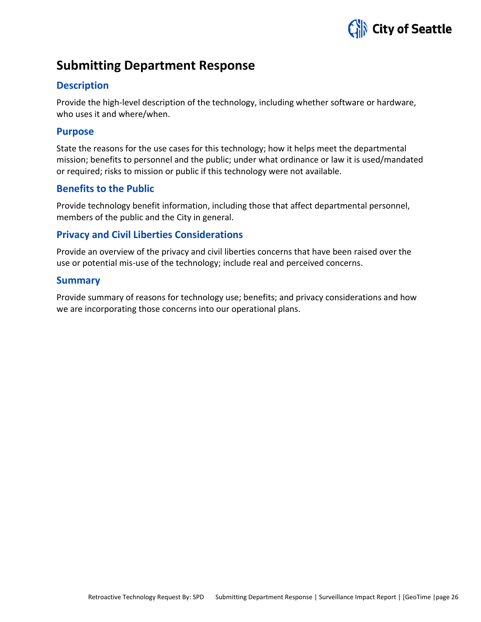

## **Submitting Department Response**

### **Description**

Provide the high-level description of the technology, including whether software or hardware, who uses it and where/when.

### **Purpose**

State the reasons for the use cases for this technology; how it helps meet the departmental mission; benefits to personnel and the public; under what ordinance or law it is used/mandated or required; risks to mission or public if this technology were not available.

### **Benefits to the Public**

Provide technology benefit information, including those that affect departmental personnel, members of the public and the City in general.

## **Privacy and Civil Liberties Considerations**

Provide an overview of the privacy and civil liberties concerns that have been raised over the use or potential mis-use of the technology; include real and perceived concerns.

### **Summary**

Provide summary of reasons for technology use; benefits; and privacy considerations and how we are incorporating those concerns into our operational plans.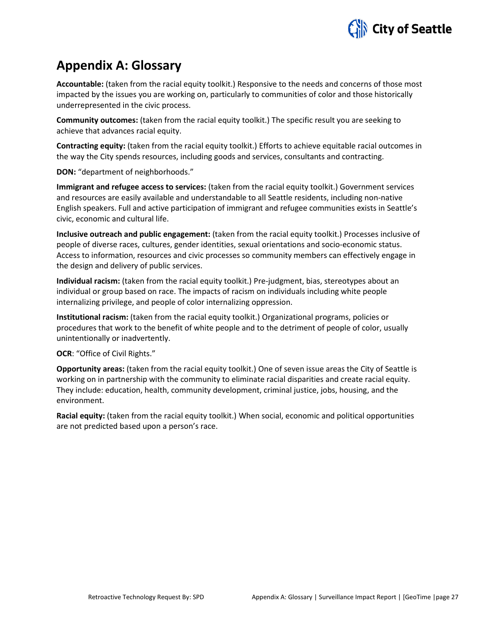

## **Appendix A: Glossary**

**Accountable:** (taken from the racial equity toolkit.) Responsive to the needs and concerns of those most impacted by the issues you are working on, particularly to communities of color and those historically underrepresented in the civic process.

**Community outcomes:** (taken from the racial equity toolkit.) The specific result you are seeking to achieve that advances racial equity.

**Contracting equity:** (taken from the racial equity toolkit.) Efforts to achieve equitable racial outcomes in the way the City spends resources, including goods and services, consultants and contracting.

**DON:** "department of neighborhoods."

**Immigrant and refugee access to services:** (taken from the racial equity toolkit.) Government services and resources are easily available and understandable to all Seattle residents, including non-native English speakers. Full and active participation of immigrant and refugee communities exists in Seattle's civic, economic and cultural life.

**Inclusive outreach and public engagement:** (taken from the racial equity toolkit.) Processes inclusive of people of diverse races, cultures, gender identities, sexual orientations and socio-economic status. Access to information, resources and civic processes so community members can effectively engage in the design and delivery of public services.

**Individual racism:** (taken from the racial equity toolkit.) Pre-judgment, bias, stereotypes about an individual or group based on race. The impacts of racism on individuals including white people internalizing privilege, and people of color internalizing oppression.

**Institutional racism:** (taken from the racial equity toolkit.) Organizational programs, policies or procedures that work to the benefit of white people and to the detriment of people of color, usually unintentionally or inadvertently.

**OCR**: "Office of Civil Rights."

**Opportunity areas:** (taken from the racial equity toolkit.) One of seven issue areas the City of Seattle is working on in partnership with the community to eliminate racial disparities and create racial equity. They include: education, health, community development, criminal justice, jobs, housing, and the environment.

**Racial equity:** (taken from the racial equity toolkit.) When social, economic and political opportunities are not predicted based upon a person's race.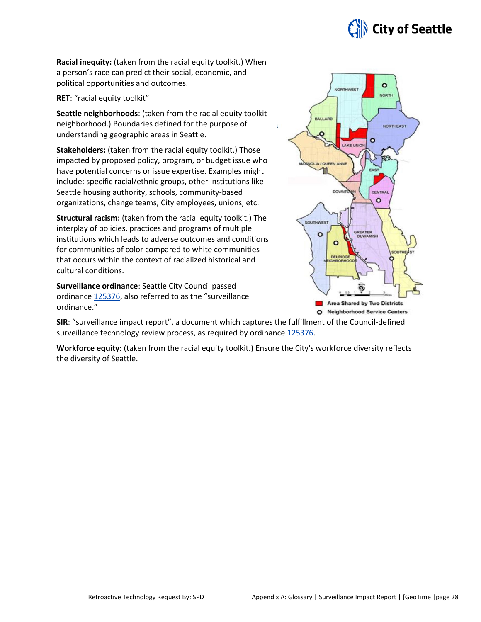

**Racial inequity:** (taken from the racial equity toolkit.) When a person's race can predict their social, economic, and political opportunities and outcomes.

**RET**: "racial equity toolkit"

**Seattle neighborhoods**: (taken from the racial equity toolkit neighborhood.) Boundaries defined for the purpose of understanding geographic areas in Seattle.

**Stakeholders:** (taken from the racial equity toolkit.) Those impacted by proposed policy, program, or budget issue who have potential concerns or issue expertise. Examples might include: specific racial/ethnic groups, other institutions like Seattle housing authority, schools, community-based organizations, change teams, City employees, unions, etc.

**Structural racism:** (taken from the racial equity toolkit.) The interplay of policies, practices and programs of multiple institutions which leads to adverse outcomes and conditions for communities of color compared to white communities that occurs within the context of racialized historical and cultural conditions.

**Surveillance ordinance**: Seattle City Council passed ordinance [125376,](http://seattle.legistar.com/LegislationDetail.aspx?ID=2981172&GUID=0B2FEFC0-822F-4907-9409-E318537E5330&Options=Advanced&Search=) also referred to as the "surveillance ordinance."



**SIR**: "surveillance impact report", a document which captures the fulfillment of the Council-defined surveillance technology review process, as required by ordinanc[e 125376.](http://seattle.legistar.com/LegislationDetail.aspx?ID=2981172&GUID=0B2FEFC0-822F-4907-9409-E318537E5330&Options=Advanced&Search=)

**Workforce equity:** (taken from the racial equity toolkit.) Ensure the City's workforce diversity reflects the diversity of Seattle.